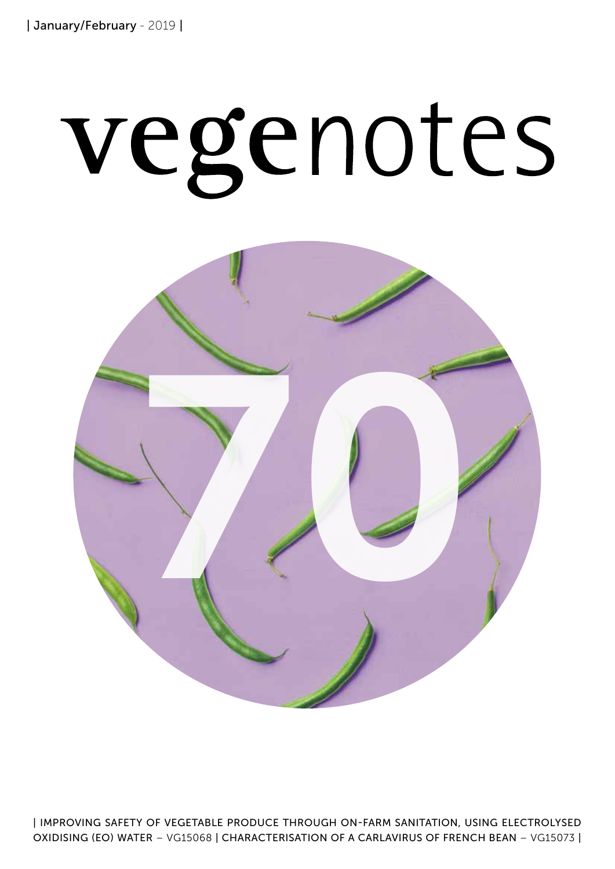# vegenotes



| IMPROVING SAFETY OF VEGETABLE PRODUCE THROUGH ON-FARM SANITATION, USING ELECTROLYSED OXIDISING (EO) WATER – VG15068 | CHARACTERISATION OF A CARLAVIRUS OF FRENCH BEAN – VG15073 |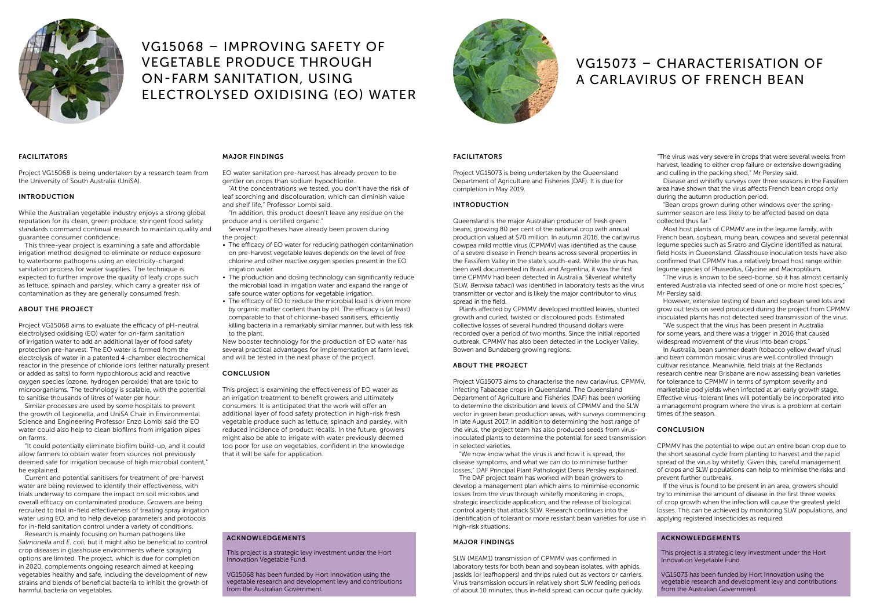#### FACILITATORS

Project VG15073 is being undertaken by the Queensland Department of Agriculture and Fisheries (DAF). It is due for completion in May 2019.

#### INTRODUCTION

Queensland is the major Australian producer of fresh green beans, growing 80 per cent of the national crop with annual production valued at \$70 million. In autumn 2016, the carlavirus cowpea mild mottle virus (CPMMV) was identified as the cause of a severe disease in French beans across several properties in the Fassifern Valley in the state's south-east. While the virus has been well documented in Brazil and Argentina, it was the first time CPMMV had been detected in Australia. Silverleaf whitefly (SLW, *Bemisia tabaci*) was identified in laboratory tests as the virus transmitter or vector and is likely the major contributor to virus spread in the field.

Plants affected by CPMMV developed mottled leaves, stunted growth and curled, twisted or discoloured pods. Estimated collective losses of several hundred thousand dollars were recorded over a period of two months. Since the initial reported outbreak, CPMMV has also been detected in the Lockyer Valley, Bowen and Bundaberg growing regions.

#### ABOUT THE PROJECT

Project VG15073 aims to characterise the new carlavirus, CPMMV, infecting Fabaceae crops in Queensland. The Queensland Department of Agriculture and Fisheries (DAF) has been working to determine the distribution and levels of CPMMV and the SLW vector in green bean production areas, with surveys commencing in late August 2017. In addition to determining the host range of the virus, the project team has also produced seeds from virusinoculated plants to determine the potential for seed transmission in selected varieties.

"We now know what the virus is and how it is spread, the disease symptoms, and what we can do to minimise further losses," DAF Principal Plant Pathologist Denis Persley explained.

The DAF project team has worked with bean growers to develop a management plan which aims to minimise economic losses from the virus through whitefly monitoring in crops, strategic insecticide application, and the release of biological control agents that attack SLW. Research continues into the identification of tolerant or more resistant bean varieties for use in high-risk situations.

#### MAJOR FINDINGS

SLW (MEAM1) transmission of CPMMV was confirmed in laboratory tests for both bean and soybean isolates, with aphids, jassids (or leafhoppers) and thrips ruled out as vectors or carriers. Virus transmission occurs in relatively short SLW feeding periods of about 10 minutes, thus in-field spread can occur quite quickly.

"The virus was very severe in crops that were several weeks from harvest, leading to either crop failure or extensive downgrading and culling in the packing shed," Mr Persley said.

Disease and whitefly surveys over three seasons in the Fassifern area have shown that the virus affects French bean crops only during the autumn production period.

"Bean crops grown during other windows over the springsummer season are less likely to be affected based on data collected thus far."

Most host plants of CPMMV are in the legume family, with French bean, soybean, mung bean, cowpea and several perennial legume species such as Siratro and Glycine identified as natural field hosts in Queensland. Glasshouse inoculation tests have also confirmed that CPMMV has a relatively broad host range within legume species of Phaseolus, Glycine and Macroptilium.

"The virus is known to be seed-borne, so it has almost certainly entered Australia via infected seed of one or more host species," Mr Persley said.

However, extensive testing of bean and soybean seed lots and grow out tests on seed produced during the project from CPMMV inoculated plants has not detected seed transmission of the virus.

"We suspect that the virus has been present in Australia for some years, and there was a trigger in 2016 that caused widespread movement of the virus into bean crops."

In Australia, bean summer death (tobacco yellow dwarf virus) and bean common mosaic virus are well controlled through cultivar resistance. Meanwhile, field trials at the Redlands research centre near Brisbane are now assessing bean varieties for tolerance to CPMMV in terms of symptom severity and marketable pod yields when infected at an early growth stage. Effective virus-tolerant lines will potentially be incorporated into a management program where the virus is a problem at certain times of the season.

#### **CONCLUSION**

CPMMV has the potential to wipe out an entire bean crop due to the short seasonal cycle from planting to harvest and the rapid spread of the virus by whitefly. Given this, careful management of crops and SLW populations can help to minimise the risks and prevent further outbreaks.

- The efficacy of EO water for reducing pathogen contamination on pre-harvest vegetable leaves depends on the level of free chlorine and other reactive oxygen species present in the EO irrigation water.
- The production and dosing technology can significantly reduce the microbial load in irrigation water and expand the range of safe source water options for vegetable irrigation.
- The efficacy of EO to reduce the microbial load is driven more by organic matter content than by pH. The efficacy is (at least) comparable to that of chlorine-based sanitisers, efficiently killing bacteria in a remarkably similar manner, but with less risk to the plant.

If the virus is found to be present in an area, growers should try to minimise the amount of disease in the first three weeks of crop growth when the infection will cause the greatest yield losses. This can be achieved by monitoring SLW populations, and applying registered insecticides as required.



# VG15068 – IMPROVING SAFETY OF VEGETABLE PRODUCE THROUGH ON-FARM SANITATION, USING ELECTROLYSED OXIDISING (EO) WATER



## VG15073 – CHARACTERISATION OF A CARLAVIRUS OF FRENCH BEAN

#### ACKNOWLEDGEMENTS

This project is a strategic levy investment under the Hort Innovation Vegetable Fund.

VG15073 has been funded by Hort Innovation using the vegetable research and development levy and contributions from the Australian Government.

#### FACILITATORS

Project VG15068 is being undertaken by a research team from the University of South Australia (UniSA).

#### INTRODUCTION

While the Australian vegetable industry enjoys a strong global reputation for its clean, green produce, stringent food safety standards command continual research to maintain quality and guarantee consumer confidence.

This three-year project is examining a safe and affordable irrigation method designed to eliminate or reduce exposure to waterborne pathogens using an electricity-charged sanitation process for water supplies. The technique is expected to further improve the quality of leafy crops such as lettuce, spinach and parsley, which carry a greater risk of contamination as they are generally consumed fresh.

#### ABOUT THE PROJECT

Project VG15068 aims to evaluate the efficacy of pH-neutral electrolysed oxidising (EO) water for on-farm sanitation of irrigation water to add an additional layer of food safety protection pre-harvest. The EO water is formed from the electrolysis of water in a patented 4-chamber electrochemical reactor in the presence of chloride ions (either naturally present or added as salts) to form hypochlorous acid and reactive oxygen species (ozone, hydrogen peroxide) that are toxic to microorganisms. The technology is scalable, with the potential to sanitise thousands of litres of water per hour.

Similar processes are used by some hospitals to prevent the growth of Legionella, and UniSA Chair in Environmental Science and Engineering Professor Enzo Lombi said the EO water could also help to clean biofilms from irrigation pipes on farms.

"It could potentially eliminate biofilm build-up, and it could allow farmers to obtain water from sources not previously deemed safe for irrigation because of high microbial content," he explained.

Current and potential sanitisers for treatment of pre-harvest water are being reviewed to identify their effectiveness, with trials underway to compare the impact on soil microbes and overall efficacy on contaminated produce. Growers are being recruited to trial in-field effectiveness of treating spray irrigation water using EO, and to help develop parameters and protocols for in-field sanitation control under a variety of conditions.

Research is mainly focusing on human pathogens like *Salmonella* and *E. coli*, but it might also be beneficial to control crop diseases in glasshouse environments where spraying options are limited. The project, which is due for completion in 2020, complements ongoing research aimed at keeping vegetables healthy and safe, including the development of new strains and blends of beneficial bacteria to inhibit the growth of harmful bacteria on vegetables.

#### MAJOR FINDINGS

EO water sanitation pre-harvest has already proven to be gentler on crops than sodium hypochlorite.

"At the concentrations we tested, you don't have the risk of leaf scorching and discolouration, which can diminish value and shelf life," Professor Lombi said.

"In addition, this product doesn't leave any residue on the produce and is certified organic."

Several hypotheses have already been proven during the project:

New booster technology for the production of EO water has several practical advantages for implementation at farm level, and will be tested in the next phase of the project.

#### **CONCLUSION**

This project is examining the effectiveness of EO water as an irrigation treatment to benefit growers and ultimately consumers. It is anticipated that the work will offer an additional layer of food safety protection in high-risk fresh vegetable produce such as lettuce, spinach and parsley, with reduced incidence of product recalls. In the future, growers might also be able to irrigate with water previously deemed too poor for use on vegetables, confident in the knowledge that it will be safe for application.

### ACKNOWLEDGEMENTS

This project is a strategic levy investment under the Hort Innovation Vegetable Fund.

VG15068 has been funded by Hort Innovation using the vegetable research and development levy and contributions from the Australian Government.